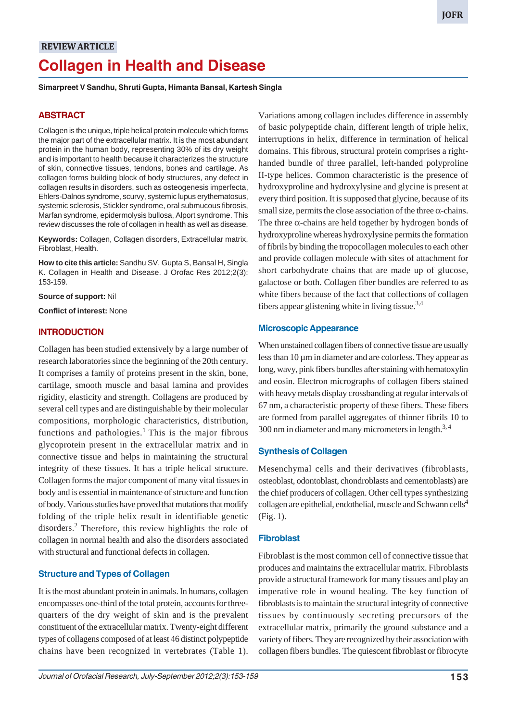# **REVIEW ARTICLE Collagen in Health and Disease**

**Simarpreet V Sandhu, Shruti Gupta, Himanta Bansal, Kartesh Singla**

# **ABSTRACT**

Collagen is the unique, triple helical protein molecule which forms the major part of the extracellular matrix. It is the most abundant protein in the human body, representing 30% of its dry weight and is important to health because it characterizes the structure of skin, connective tissues, tendons, bones and cartilage. As collagen forms building block of body structures, any defect in collagen results in disorders, such as osteogenesis imperfecta, Ehlers-Dalnos syndrome, scurvy, systemic lupus erythematosus, systemic sclerosis, Stickler syndrome, oral submucous fibrosis, Marfan syndrome, epidermolysis bullosa, Alport syndrome. This review discusses the role of collagen in health as well as disease.

**Keywords:** Collagen, Collagen disorders, Extracellular matrix, Fibroblast, Health.

**How to cite this article:** Sandhu SV, Gupta S, Bansal H, Singla K. Collagen in Health and Disease. J Orofac Res 2012;2(3): 153-159.

**Source of support:** Nil

**Conflict of interest:** None

# **INTRODUCTION**

Collagen has been studied extensively by a large number of research laboratories since the beginning of the 20th century. It comprises a family of proteins present in the skin, bone, cartilage, smooth muscle and basal lamina and provides rigidity, elasticity and strength. Collagens are produced by several cell types and are distinguishable by their molecular compositions, morphologic characteristics, distribution, functions and pathologies.<sup>1</sup> This is the major fibrous glycoprotein present in the extracellular matrix and in connective tissue and helps in maintaining the structural integrity of these tissues. It has a triple helical structure. Collagen forms the major component of many vital tissues in body and is essential in maintenance of structure and function of body. Various studies have proved that mutations that modify folding of the triple helix result in identifiable genetic disorders.<sup>2</sup> Therefore, this review highlights the role of collagen in normal health and also the disorders associated with structural and functional defects in collagen.

# **Structure and Types of Collagen**

It is the most abundant protein in animals. In humans, collagen encompasses one-third of the total protein, accounts for threequarters of the dry weight of skin and is the prevalent constituent of the extracellular matrix. Twenty-eight different types of collagens composed of at least 46 distinct polypeptide chains have been recognized in vertebrates (Table 1).

Variations among collagen includes difference in assembly of basic polypeptide chain, different length of triple helix, interruptions in helix, difference in termination of helical domains. This fibrous, structural protein comprises a righthanded bundle of three parallel, left-handed polyproline II-type helices. Common characteristic is the presence of hydroxyproline and hydroxylysine and glycine is present at every third position. It is supposed that glycine, because of its small size, permits the close association of the three  $\alpha$ -chains. The three  $\alpha$ -chains are held together by hydrogen bonds of hydroxyproline whereas hydroxylysine permits the formation of fibrils by binding the tropocollagen molecules to each other and provide collagen molecule with sites of attachment for short carbohydrate chains that are made up of glucose, galactose or both. Collagen fiber bundles are referred to as white fibers because of the fact that collections of collagen fibers appear glistening white in living tissue.<sup>3,4</sup>

# **Microscopic Appearance**

When unstained collagen fibers of connective tissue are usually less than 10 µm in diameter and are colorless. They appear as long, wavy, pink fibers bundles after staining with hematoxylin and eosin. Electron micrographs of collagen fibers stained with heavy metals display crossbanding at regular intervals of 67 nm, a characteristic property of these fibers. These fibers are formed from parallel aggregates of thinner fibrils 10 to 300 nm in diameter and many micrometers in length. $^{3,4}$ 

# **Synthesis of Collagen**

Mesenchymal cells and their derivatives (fibroblasts, osteoblast, odontoblast, chondroblasts and cementoblasts) are the chief producers of collagen. Other cell types synthesizing collagen are epithelial, endothelial, muscle and Schwann cells<sup>4</sup> (Fig. 1).

# **Fibroblast**

Fibroblast is the most common cell of connective tissue that produces and maintains the extracellular matrix. Fibroblasts provide a structural framework for many tissues and play an imperative role in wound healing. The key function of fibroblasts is to maintain the structural integrity of connective tissues by continuously secreting precursors of the extracellular matrix, primarily the ground substance and a variety of fibers. They are recognized by their association with collagen fibers bundles. The quiescent fibroblast or fibrocyte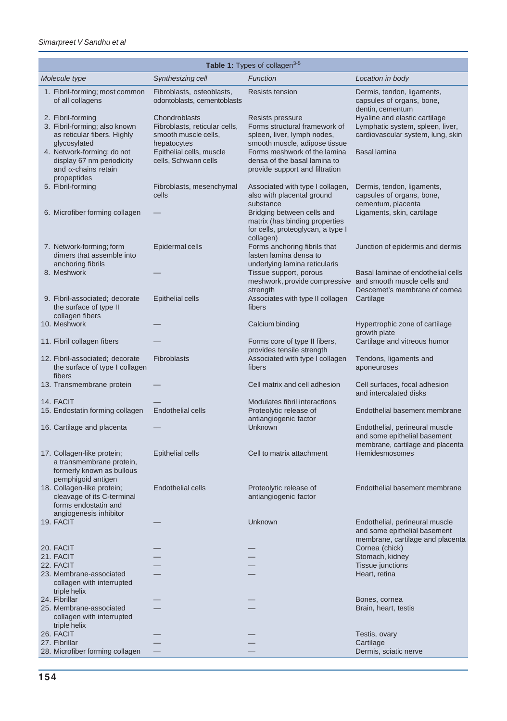| Table 1: Types of collagen <sup>3-5</sup>                                                                  |                                                                                       |                                                                                                                   |                                                                                                        |  |  |  |  |
|------------------------------------------------------------------------------------------------------------|---------------------------------------------------------------------------------------|-------------------------------------------------------------------------------------------------------------------|--------------------------------------------------------------------------------------------------------|--|--|--|--|
| Molecule type                                                                                              | Synthesizing cell                                                                     | Function                                                                                                          | Location in body                                                                                       |  |  |  |  |
| 1. Fibril-forming; most common<br>of all collagens                                                         | Fibroblasts, osteoblasts,<br>odontoblasts, cementoblasts                              | Resists tension                                                                                                   | Dermis, tendon, ligaments,<br>capsules of organs, bone,<br>dentin, cementum                            |  |  |  |  |
| 2. Fibril-forming<br>3. Fibril-forming; also known<br>as reticular fibers. Highly<br>glycosylated          | Chondroblasts<br>Fibroblasts, reticular cells,<br>smooth muscle cells,<br>hepatocytes | Resists pressure<br>Forms structural framework of<br>spleen, liver, lymph nodes,<br>smooth muscle, adipose tissue | Hyaline and elastic cartilage<br>Lymphatic system, spleen, liver,<br>cardiovascular system, lung, skin |  |  |  |  |
| 4. Network-forming; do not<br>display 67 nm periodicity<br>and $\alpha$ -chains retain<br>propeptides      | Epithelial cells, muscle<br>cells, Schwann cells                                      | Forms meshwork of the lamina<br>densa of the basal lamina to<br>provide support and filtration                    | <b>Basal lamina</b>                                                                                    |  |  |  |  |
| 5. Fibril-forming                                                                                          | Fibroblasts, mesenchymal<br>cells                                                     | Associated with type I collagen,<br>also with placental ground<br>substance                                       | Dermis, tendon, ligaments,<br>capsules of organs, bone,<br>cementum, placenta                          |  |  |  |  |
| 6. Microfiber forming collagen                                                                             |                                                                                       | Bridging between cells and<br>matrix (has binding properties<br>for cells, proteoglycan, a type I<br>collagen)    | Ligaments, skin, cartilage                                                                             |  |  |  |  |
| 7. Network-forming; form<br>dimers that assemble into<br>anchoring fibrils                                 | Epidermal cells                                                                       | Forms anchoring fibrils that<br>fasten lamina densa to<br>underlying lamina reticularis                           | Junction of epidermis and dermis                                                                       |  |  |  |  |
| 8. Meshwork                                                                                                |                                                                                       | Tissue support, porous<br>meshwork, provide compressive and smooth muscle cells and<br>strength                   | Basal laminae of endothelial cells<br>Descemet's membrane of cornea                                    |  |  |  |  |
| 9. Fibril-associated; decorate<br>the surface of type II<br>collagen fibers                                | <b>Epithelial cells</b>                                                               | Associates with type II collagen<br>fibers                                                                        | Cartilage                                                                                              |  |  |  |  |
| 10. Meshwork                                                                                               |                                                                                       | Calcium binding                                                                                                   | Hypertrophic zone of cartilage<br>growth plate                                                         |  |  |  |  |
| 11. Fibril collagen fibers                                                                                 |                                                                                       | Forms core of type II fibers,<br>provides tensile strength                                                        | Cartilage and vitreous humor                                                                           |  |  |  |  |
| 12. Fibril-associated; decorate<br>the surface of type I collagen<br>fibers                                | <b>Fibroblasts</b>                                                                    | Associated with type I collagen<br>fibers                                                                         | Tendons, ligaments and<br>aponeuroses                                                                  |  |  |  |  |
| 13. Transmembrane protein                                                                                  |                                                                                       | Cell matrix and cell adhesion                                                                                     | Cell surfaces, focal adhesion<br>and intercalated disks                                                |  |  |  |  |
| 14. FACIT<br>15. Endostatin forming collagen                                                               | <b>Endothelial cells</b>                                                              | Modulates fibril interactions<br>Proteolytic release of                                                           | Endothelial basement membrane                                                                          |  |  |  |  |
|                                                                                                            |                                                                                       | antiangiogenic factor                                                                                             |                                                                                                        |  |  |  |  |
| 16. Cartilage and placenta                                                                                 |                                                                                       | Unknown                                                                                                           | Endothelial, perineural muscle<br>and some epithelial basement<br>membrane, cartilage and placenta     |  |  |  |  |
| 17. Collagen-like protein;<br>a transmembrane protein,<br>formerly known as bullous<br>pemphigoid antigen  | <b>Epithelial cells</b>                                                               | Cell to matrix attachment                                                                                         | Hemidesmosomes                                                                                         |  |  |  |  |
| 18. Collagen-like protein;<br>cleavage of its C-terminal<br>forms endostatin and<br>angiogenesis inhibitor | <b>Endothelial cells</b>                                                              | Proteolytic release of<br>antiangiogenic factor                                                                   | Endothelial basement membrane                                                                          |  |  |  |  |
| 19. FACIT                                                                                                  |                                                                                       | Unknown                                                                                                           | Endothelial, perineural muscle<br>and some epithelial basement<br>membrane, cartilage and placenta     |  |  |  |  |
| 20. FACIT                                                                                                  |                                                                                       |                                                                                                                   | Cornea (chick)                                                                                         |  |  |  |  |
| 21. FACIT<br>22. FACIT                                                                                     |                                                                                       |                                                                                                                   | Stomach, kidney<br>Tissue junctions                                                                    |  |  |  |  |
| 23. Membrane-associated<br>collagen with interrupted<br>triple helix                                       |                                                                                       |                                                                                                                   | Heart, retina                                                                                          |  |  |  |  |
| 24. Fibrillar                                                                                              |                                                                                       |                                                                                                                   | Bones, cornea                                                                                          |  |  |  |  |
| 25. Membrane-associated<br>collagen with interrupted<br>triple helix                                       |                                                                                       |                                                                                                                   | Brain, heart, testis                                                                                   |  |  |  |  |
| 26. FACIT<br>27. Fibrillar                                                                                 |                                                                                       |                                                                                                                   | Testis, ovary                                                                                          |  |  |  |  |
| 28. Microfiber forming collagen                                                                            |                                                                                       |                                                                                                                   | Cartilage<br>Dermis, sciatic nerve                                                                     |  |  |  |  |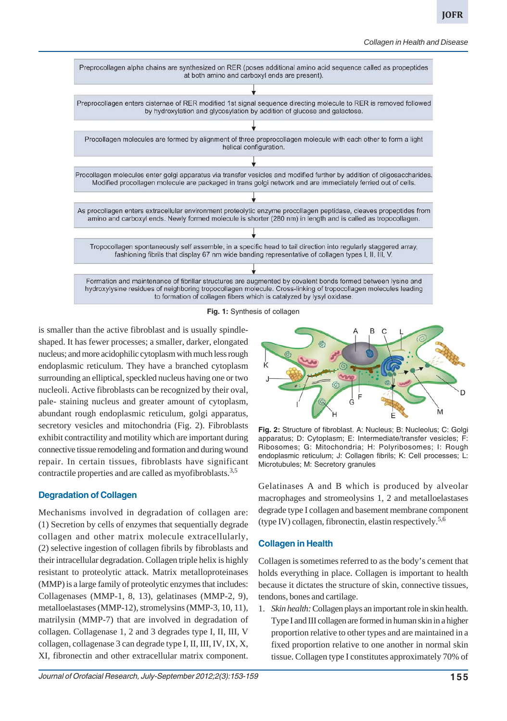

**Fig. 1:** Synthesis of collagen

is smaller than the active fibroblast and is usually spindleshaped. It has fewer processes; a smaller, darker, elongated nucleus; and more acidophilic cytoplasm with much less rough endoplasmic reticulum. They have a branched cytoplasm surrounding an elliptical, speckled nucleus having one or two nucleoli. Active fibroblasts can be recognized by their oval, pale- staining nucleus and greater amount of cytoplasm, abundant rough endoplasmic reticulum, golgi apparatus, secretory vesicles and mitochondria (Fig. 2). Fibroblasts exhibit contractility and motility which are important during connective tissue remodeling and formation and during wound repair. In certain tissues, fibroblasts have significant contractile properties and are called as myofibroblasts.3,5

# **Degradation of Collagen**

Mechanisms involved in degradation of collagen are: (1) Secretion by cells of enzymes that sequentially degrade collagen and other matrix molecule extracellularly, (2) selective ingestion of collagen fibrils by fibroblasts and their intracellular degradation. Collagen triple helix is highly resistant to proteolytic attack. Matrix metalloproteinases (MMP) is a large family of proteolytic enzymes that includes: Collagenases (MMP-1, 8, 13), gelatinases (MMP-2, 9), metalloelastases (MMP-12), stromelysins (MMP-3, 10, 11), matrilysin (MMP-7) that are involved in degradation of collagen. Collagenase 1, 2 and 3 degrades type I, II, III, V collagen, collagenase 3 can degrade type I, II, III, IV, IX, X, XI, fibronectin and other extracellular matrix component.





**Fig. 2:** Structure of fibroblast. A: Nucleus; B: Nucleolus; C: Golgi apparatus; D: Cytoplasm; E: Intermediate/transfer vesicles; F: Ribosomes; G: Mitochondria; H: Polyribosomes; I: Rough endoplasmic reticulum; J: Collagen fibrils; K: Cell processes; L: Microtubules; M: Secretory granules

Gelatinases A and B which is produced by alveolar macrophages and stromeolysins 1, 2 and metalloelastases degrade type I collagen and basement membrane component (type IV) collagen, fibronectin, elastin respectively.<sup>5,6</sup>

# **Collagen in Health**

Collagen is sometimes referred to as the body's cement that holds everything in place. Collagen is important to health because it dictates the structure of skin, connective tissues, tendons, bones and cartilage.

1. *Skin health:* Collagen plays an important role in skin health. Type I and III collagen are formed in human skin in a higher proportion relative to other types and are maintained in a fixed proportion relative to one another in normal skin tissue. Collagen type I constitutes approximately 70% of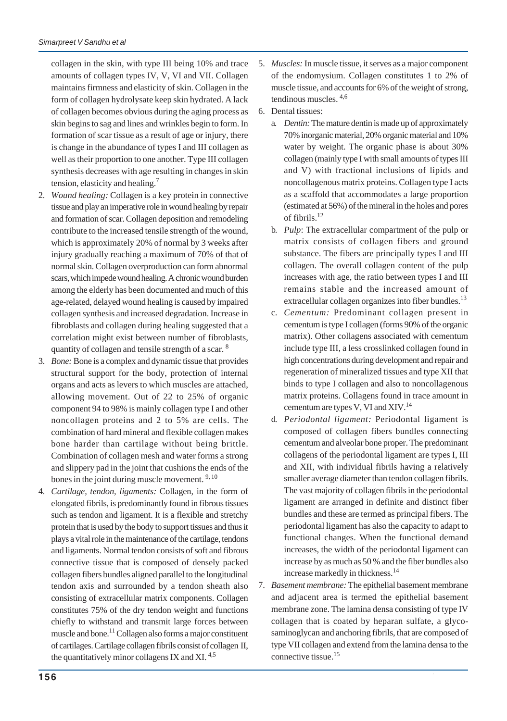collagen in the skin, with type III being 10% and trace amounts of collagen types IV, V, VI and VII. Collagen maintains firmness and elasticity of skin. Collagen in the form of collagen hydrolysate keep skin hydrated. A lack of collagen becomes obvious during the aging process as skin begins to sag and lines and wrinkles begin to form. In formation of scar tissue as a result of age or injury, there is change in the abundance of types I and III collagen as well as their proportion to one another. Type III collagen synthesis decreases with age resulting in changes in skin tension, elasticity and healing.7

- 2. *Wound healing:* Collagen is a key protein in connective tissue and play an imperative role in wound healing by repair and formation of scar. Collagen deposition and remodeling contribute to the increased tensile strength of the wound, which is approximately 20% of normal by 3 weeks after injury gradually reaching a maximum of 70% of that of normal skin. Collagen overproduction can form abnormal scars, which impede wound healing. A chronic wound burden among the elderly has been documented and much of this age-related, delayed wound healing is caused by impaired collagen synthesis and increased degradation. Increase in fibroblasts and collagen during healing suggested that a correlation might exist between number of fibroblasts, quantity of collagen and tensile strength of a scar. 8
- 3. *Bone:* Bone is a complex and dynamic tissue that provides structural support for the body, protection of internal organs and acts as levers to which muscles are attached, allowing movement. Out of 22 to 25% of organic component 94 to 98% is mainly collagen type I and other noncollagen proteins and 2 to 5% are cells. The combination of hard mineral and flexible collagen makes bone harder than cartilage without being brittle. Combination of collagen mesh and water forms a strong and slippery pad in the joint that cushions the ends of the bones in the joint during muscle movement.<sup>9, 10</sup>
- 4. *Cartilage, tendon, ligaments:* Collagen, in the form of elongated fibrils, is predominantly found in fibrous tissues such as tendon and ligament. It is a flexible and stretchy protein that is used by the body to support tissues and thus it plays a vital role in the maintenance of the cartilage, tendons and ligaments. Normal tendon consists of soft and fibrous connective tissue that is composed of densely packed collagen fibers bundles aligned parallel to the longitudinal tendon axis and surrounded by a tendon sheath also consisting of extracellular matrix components. Collagen constitutes 75% of the dry tendon weight and functions chiefly to withstand and transmit large forces between muscle and bone.<sup>11</sup> Collagen also forms a major constituent of cartilages. Cartilage collagen fibrils consist of collagen II, the quantitatively minor collagens IX and XI.<sup>4,5</sup>
- 5. *Muscles:* In muscle tissue, it serves as a major component of the endomysium. Collagen constitutes 1 to 2% of muscle tissue, and accounts for 6% of the weight of strong, tendinous muscles. 4,6
- 6. Dental tissues:
	- a. *Dentin:* The mature dentin is made up of approximately 70% inorganic material, 20% organic material and 10% water by weight. The organic phase is about 30% collagen (mainly type I with small amounts of types III and V) with fractional inclusions of lipids and noncollagenous matrix proteins. Collagen type I acts as a scaffold that accommodates a large proportion (estimated at 56%) of the mineral in the holes and pores of fibrils.12
	- b. *Pulp*: The extracellular compartment of the pulp or matrix consists of collagen fibers and ground substance. The fibers are principally types I and III collagen. The overall collagen content of the pulp increases with age, the ratio between types I and III remains stable and the increased amount of extracellular collagen organizes into fiber bundles.<sup>13</sup>
	- c. *Cementum:* Predominant collagen present in cementum is type I collagen (forms 90% of the organic matrix). Other collagens associated with cementum include type III, a less crosslinked collagen found in high concentrations during development and repair and regeneration of mineralized tissues and type XII that binds to type I collagen and also to noncollagenous matrix proteins. Collagens found in trace amount in cementum are types V, VI and XIV.14
	- d. *Periodontal ligament:* Periodontal ligament is composed of collagen fibers bundles connecting cementum and alveolar bone proper. The predominant collagens of the periodontal ligament are types I, III and XII, with individual fibrils having a relatively smaller average diameter than tendon collagen fibrils. The vast majority of collagen fibrils in the periodontal ligament are arranged in definite and distinct fiber bundles and these are termed as principal fibers. The periodontal ligament has also the capacity to adapt to functional changes. When the functional demand increases, the width of the periodontal ligament can increase by as much as 50 % and the fiber bundles also increase markedly in thickness.14
- 7. *Basement membrane:* The epithelial basement membrane and adjacent area is termed the epithelial basement membrane zone. The lamina densa consisting of type IV collagen that is coated by heparan sulfate, a glycosaminoglycan and anchoring fibrils, that are composed of type VII collagen and extend from the lamina densa to the connective tissue.15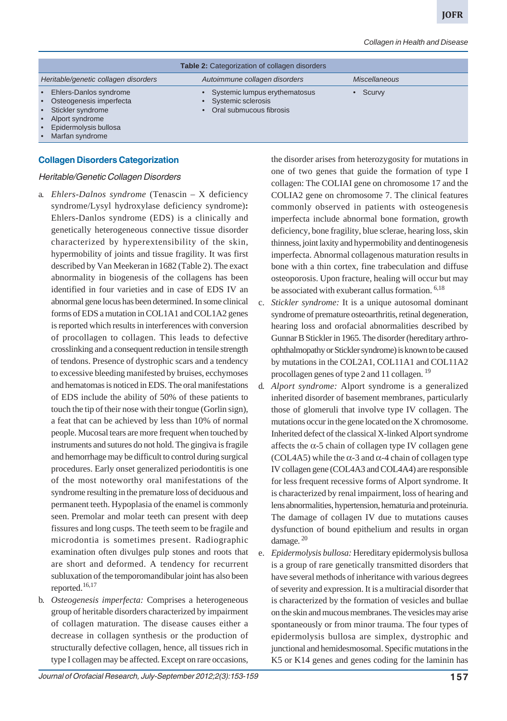|                                                                                                                                                   | <b>Table 2: Categorization of collagen disorders</b>                                          |                      |  |
|---------------------------------------------------------------------------------------------------------------------------------------------------|-----------------------------------------------------------------------------------------------|----------------------|--|
| Heritable/genetic collagen disorders                                                                                                              | Autoimmune collagen disorders                                                                 | <b>Miscellaneous</b> |  |
| • Ehlers-Danlos syndrome<br>• Osteogenesis imperfecta<br>• Stickler syndrome<br>• Alport syndrome<br>• Epidermolysis bullosa<br>• Marfan syndrome | • Systemic lumpus erythematosus<br>Systemic sclerosis<br>$\bullet$<br>Oral submucous fibrosis | Scurvy               |  |

#### **Collagen Disorders Categorization**

#### Heritable/Genetic Collagen Disorders

- a. *Ehlers-Dalnos syndrome* (Tenascin X deficiency syndrome/Lysyl hydroxylase deficiency syndrome)**:** Ehlers-Danlos syndrome (EDS) is a clinically and genetically heterogeneous connective tissue disorder characterized by hyperextensibility of the skin, hypermobility of joints and tissue fragility. It was first described by Van Meekeran in 1682 (Table 2). The exact abnormality in biogenesis of the collagens has been identified in four varieties and in case of EDS IV an abnormal gene locus has been determined. In some clinical forms of EDS a mutation in COL1A1 and COL1A2 genes is reported which results in interferences with conversion of procollagen to collagen. This leads to defective crosslinking and a consequent reduction in tensile strength of tendons. Presence of dystrophic scars and a tendency to excessive bleeding manifested by bruises, ecchymoses and hematomas is noticed in EDS. The oral manifestations of EDS include the ability of 50% of these patients to touch the tip of their nose with their tongue (Gorlin sign), a feat that can be achieved by less than 10% of normal people. Mucosal tears are more frequent when touched by instruments and sutures do not hold. The gingiva is fragile and hemorrhage may be difficult to control during surgical procedures. Early onset generalized periodontitis is one of the most noteworthy oral manifestations of the syndrome resulting in the premature loss of deciduous and permanent teeth. Hypoplasia of the enamel is commonly seen. Premolar and molar teeth can present with deep fissures and long cusps. The teeth seem to be fragile and microdontia is sometimes present. Radiographic examination often divulges pulp stones and roots that are short and deformed. A tendency for recurrent subluxation of the temporomandibular joint has also been reported.16,17
- b. *Osteogenesis imperfecta:* Comprises a heterogeneous group of heritable disorders characterized by impairment of collagen maturation. The disease causes either a decrease in collagen synthesis or the production of structurally defective collagen, hence, all tissues rich in type I collagen may be affected. Except on rare occasions,

the disorder arises from heterozygosity for mutations in one of two genes that guide the formation of type I collagen: The COLIAI gene on chromosome 17 and the COLIA2 gene on chromosome 7. The clinical features commonly observed in patients with osteogenesis imperfecta include abnormal bone formation, growth deficiency, bone fragility, blue sclerae, hearing loss, skin thinness, joint laxity and hypermobility and dentinogenesis imperfecta. Abnormal collagenous maturation results in bone with a thin cortex, fine trabeculation and diffuse osteoporosis. Upon fracture, healing will occur but may be associated with exuberant callus formation. <sup>6,18</sup>

- c. *Stickler syndrome:* It is a unique autosomal dominant syndrome of premature osteoarthritis, retinal degeneration, hearing loss and orofacial abnormalities described by Gunnar B Stickler in 1965. The disorder (hereditary arthroophthalmopathy or Stickler syndrome) is known to be caused by mutations in the COL2A1, COL11A1 and COL11A2 procollagen genes of type 2 and 11 collagen.<sup>19</sup>
- d. *Alport syndrome:* Alport syndrome is a generalized inherited disorder of basement membranes, particularly those of glomeruli that involve type IV collagen. The mutations occur in the gene located on the X chromosome. Inherited defect of the classical X-linked Alport syndrome affects the  $\alpha$ -5 chain of collagen type IV collagen gene (COL4A5) while the  $\alpha$ -3 and  $\alpha$ -4 chain of collagen type IV collagen gene (COL4A3 and COL4A4) are responsible for less frequent recessive forms of Alport syndrome. It is characterized by renal impairment, loss of hearing and lens abnormalities, hypertension, hematuria and proteinuria. The damage of collagen IV due to mutations causes dysfunction of bound epithelium and results in organ damage.  $20$
- e. *Epidermolysis bullosa:* Hereditary epidermolysis bullosa is a group of rare genetically transmitted disorders that have several methods of inheritance with various degrees of severity and expression. It is a multiracial disorder that is characterized by the formation of vesicles and bullae on the skin and mucous membranes. The vesicles may arise spontaneously or from minor trauma. The four types of epidermolysis bullosa are simplex, dystrophic and junctional and hemidesmosomal. Specific mutations in the K5 or K14 genes and genes coding for the laminin has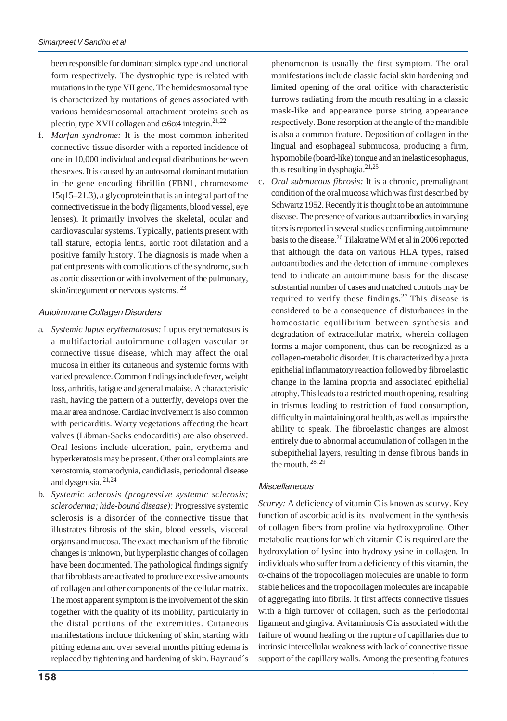been responsible for dominant simplex type and junctional form respectively. The dystrophic type is related with mutations in the type VII gene. The hemidesmosomal type is characterized by mutations of genes associated with various hemidesmosomal attachment proteins such as plectin, type XVII collagen and  $\alpha$ 6 $\alpha$ 4 integrin.<sup>21,22</sup>

f. *Marfan syndrome:* It is the most common inherited connective tissue disorder with a reported incidence of one in 10,000 individual and equal distributions between the sexes. It is caused by an autosomal dominant mutation in the gene encoding fibrillin (FBN1, chromosome 15q15–21.3), a glycoprotein that is an integral part of the connective tissue in the body (ligaments, blood vessel, eye lenses). It primarily involves the skeletal, ocular and cardiovascular systems. Typically, patients present with tall stature, ectopia lentis, aortic root dilatation and a positive family history. The diagnosis is made when a patient presents with complications of the syndrome, such as aortic dissection or with involvement of the pulmonary, skin/integument or nervous systems. 23

# Autoimmune Collagen Disorders

- a. *Systemic lupus erythematosus:* Lupus erythematosus is a multifactorial autoimmune collagen vascular or connective tissue disease, which may affect the oral mucosa in either its cutaneous and systemic forms with varied prevalence. Common findings include fever, weight loss, arthritis, fatigue and general malaise. A characteristic rash, having the pattern of a butterfly, develops over the malar area and nose. Cardiac involvement is also common with pericarditis. Warty vegetations affecting the heart valves (Libman-Sacks endocarditis) are also observed. Oral lesions include ulceration, pain, erythema and hyperkeratosis may be present. Other oral complaints are xerostomia, stomatodynia, candidiasis, periodontal disease and dysgeusia. 21,24
- b. *Systemic sclerosis (progressive systemic sclerosis; scleroderma; hide-bound disease):* Progressive systemic sclerosis is a disorder of the connective tissue that illustrates fibrosis of the skin, blood vessels, visceral organs and mucosa. The exact mechanism of the fibrotic changes is unknown, but hyperplastic changes of collagen have been documented. The pathological findings signify that fibroblasts are activated to produce excessive amounts of collagen and other components of the cellular matrix. The most apparent symptom is the involvement of the skin together with the quality of its mobility, particularly in the distal portions of the extremities. Cutaneous manifestations include thickening of skin, starting with pitting edema and over several months pitting edema is replaced by tightening and hardening of skin. Raynaud´s

phenomenon is usually the first symptom. The oral manifestations include classic facial skin hardening and limited opening of the oral orifice with characteristic furrows radiating from the mouth resulting in a classic mask-like and appearance purse string appearance respectively. Bone resorption at the angle of the mandible is also a common feature. Deposition of collagen in the lingual and esophageal submucosa, producing a firm, hypomobile (board-like) tongue and an inelastic esophagus, thus resulting in dysphagia. $21,25$ 

c. *Oral submucous fibrosis:* It is a chronic, premalignant condition of the oral mucosa which was first described by Schwartz 1952. Recently it is thought to be an autoimmune disease. The presence of various autoantibodies in varying titers is reported in several studies confirming autoimmune basis to the disease.26 Tilakratne WM et al in 2006 reported that although the data on various HLA types, raised autoantibodies and the detection of immune complexes tend to indicate an autoimmune basis for the disease substantial number of cases and matched controls may be required to verify these findings. $27$  This disease is considered to be a consequence of disturbances in the homeostatic equilibrium between synthesis and degradation of extracellular matrix, wherein collagen forms a major component, thus can be recognized as a collagen-metabolic disorder. It is characterized by a juxta epithelial inflammatory reaction followed by fibroelastic change in the lamina propria and associated epithelial atrophy. This leads to a restricted mouth opening, resulting in trismus leading to restriction of food consumption, difficulty in maintaining oral health, as well as impairs the ability to speak. The fibroelastic changes are almost entirely due to abnormal accumulation of collagen in the subepithelial layers, resulting in dense fibrous bands in the mouth.  $28, 29$ 

# **Miscellaneous**

*Scurvy:* A deficiency of vitamin C is known as scurvy. Key function of ascorbic acid is its involvement in the synthesis of collagen fibers from proline via hydroxyproline. Other metabolic reactions for which vitamin C is required are the hydroxylation of lysine into hydroxylysine in collagen. In individuals who suffer from a deficiency of this vitamin, the -chains of the tropocollagen molecules are unable to form stable helices and the tropocollagen molecules are incapable of aggregating into fibrils. It first affects connective tissues with a high turnover of collagen, such as the periodontal ligament and gingiva. Avitaminosis C is associated with the failure of wound healing or the rupture of capillaries due to intrinsic intercellular weakness with lack of connective tissue support of the capillary walls. Among the presenting features